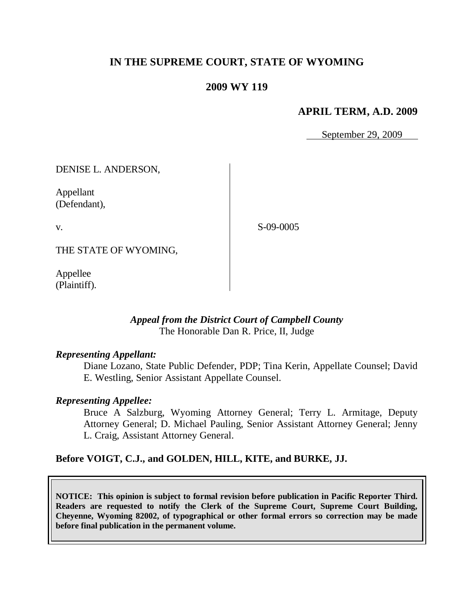# **IN THE SUPREME COURT, STATE OF WYOMING**

## **2009 WY 119**

## **APRIL TERM, A.D. 2009**

September 29, 2009

DENISE L. ANDERSON,

Appellant (Defendant),

v.

S-09-0005

THE STATE OF WYOMING,

Appellee (Plaintiff).

### *Appeal from the District Court of Campbell County* The Honorable Dan R. Price, II, Judge

#### *Representing Appellant:*

Diane Lozano, State Public Defender, PDP; Tina Kerin, Appellate Counsel; David E. Westling, Senior Assistant Appellate Counsel.

#### *Representing Appellee:*

Bruce A Salzburg, Wyoming Attorney General; Terry L. Armitage, Deputy Attorney General; D. Michael Pauling, Senior Assistant Attorney General; Jenny L. Craig, Assistant Attorney General.

#### **Before VOIGT, C.J., and GOLDEN, HILL, KITE, and BURKE, JJ.**

**NOTICE: This opinion is subject to formal revision before publication in Pacific Reporter Third. Readers are requested to notify the Clerk of the Supreme Court, Supreme Court Building, Cheyenne, Wyoming 82002, of typographical or other formal errors so correction may be made before final publication in the permanent volume.**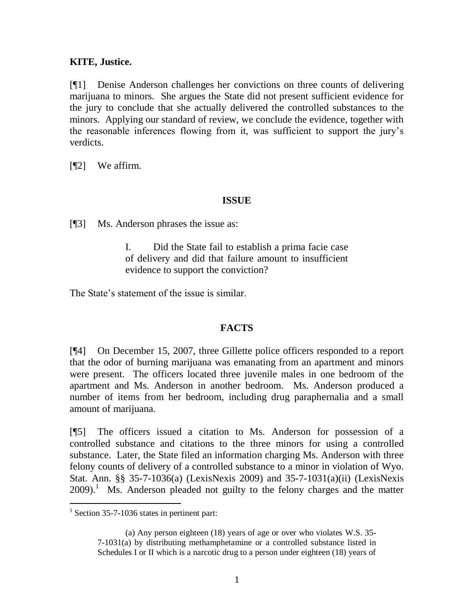### **KITE, Justice.**

[¶1] Denise Anderson challenges her convictions on three counts of delivering marijuana to minors. She argues the State did not present sufficient evidence for the jury to conclude that she actually delivered the controlled substances to the minors. Applying our standard of review, we conclude the evidence, together with the reasonable inferences flowing from it, was sufficient to support the jury's verdicts.

[¶2] We affirm.

#### **ISSUE**

[¶3] Ms. Anderson phrases the issue as:

I. Did the State fail to establish a prima facie case of delivery and did that failure amount to insufficient evidence to support the conviction?

The State's statement of the issue is similar.

### **FACTS**

[¶4] On December 15, 2007, three Gillette police officers responded to a report that the odor of burning marijuana was emanating from an apartment and minors were present. The officers located three juvenile males in one bedroom of the apartment and Ms. Anderson in another bedroom. Ms. Anderson produced a number of items from her bedroom, including drug paraphernalia and a small amount of marijuana.

[¶5] The officers issued a citation to Ms. Anderson for possession of a controlled substance and citations to the three minors for using a controlled substance. Later, the State filed an information charging Ms. Anderson with three felony counts of delivery of a controlled substance to a minor in violation of Wyo. Stat. Ann. §§ 35-7-1036(a) (LexisNexis 2009) and 35-7-1031(a)(ii) (LexisNexis  $2009$ ).<sup>1</sup> Ms. Anderson pleaded not guilty to the felony charges and the matter

 1 Section 35-7-1036 states in pertinent part:

<sup>(</sup>a) Any person eighteen (18) years of age or over who violates W.S. 35- 7-1031(a) by distributing methamphetamine or a controlled substance listed in Schedules I or II which is a narcotic drug to a person under eighteen (18) years of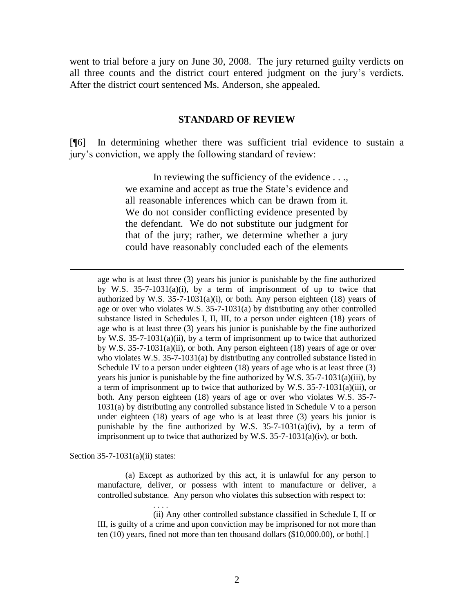went to trial before a jury on June 30, 2008. The jury returned guilty verdicts on all three counts and the district court entered judgment on the jury's verdicts. After the district court sentenced Ms. Anderson, she appealed.

#### **STANDARD OF REVIEW**

[¶6] In determining whether there was sufficient trial evidence to sustain a jury's conviction, we apply the following standard of review:

> In reviewing the sufficiency of the evidence ..., we examine and accept as true the State's evidence and all reasonable inferences which can be drawn from it. We do not consider conflicting evidence presented by the defendant. We do not substitute our judgment for that of the jury; rather, we determine whether a jury could have reasonably concluded each of the elements

age who is at least three (3) years his junior is punishable by the fine authorized by [W.S. 35-7-1031\(a\)\(i\),](http://www.westlaw.com/Find/Default.wl?rs=dfa1.0&vr=2.0&DB=1000377&DocName=WYSTS35-7-1031&FindType=Y&ReferencePositionType=S&ReferencePosition=567a0000c2492) by a term of imprisonment of up to twice that authorized by W.S.  $35-7-1031(a)(i)$ , or both. Any person eighteen (18) years of age or over who violates [W.S. 35-7-1031\(a\)](http://www.westlaw.com/Find/Default.wl?rs=dfa1.0&vr=2.0&DB=1000377&DocName=WYSTS35-7-1031&FindType=Y&ReferencePositionType=S&ReferencePosition=8b3b0000958a4) by distributing any other controlled substance listed in Schedules I, II, III, to a person under eighteen (18) years of age who is at least three (3) years his junior is punishable by the fine authorized by [W.S. 35-7-1031\(a\)\(ii\),](http://www.westlaw.com/Find/Default.wl?rs=dfa1.0&vr=2.0&DB=1000377&DocName=WYSTS35-7-1031&FindType=Y&ReferencePositionType=S&ReferencePosition=36630000d6d06) by a term of imprisonment up to twice that authorized by [W.S. 35-7-1031\(a\)\(ii\),](http://www.westlaw.com/Find/Default.wl?rs=dfa1.0&vr=2.0&DB=1000377&DocName=WYSTS35-7-1031&FindType=Y&ReferencePositionType=S&ReferencePosition=36630000d6d06) or both. Any person eighteen (18) years of age or over who violates [W.S. 35-7-1031\(a\)](http://www.westlaw.com/Find/Default.wl?rs=dfa1.0&vr=2.0&DB=1000377&DocName=WYSTS35-7-1031&FindType=Y&ReferencePositionType=S&ReferencePosition=8b3b0000958a4) by distributing any controlled substance listed in Schedule IV to a person under eighteen (18) years of age who is at least three (3) years his junior is punishable by the fine authorized by [W.S. 35-7-1031\(a\)\(iii\),](http://www.westlaw.com/Find/Default.wl?rs=dfa1.0&vr=2.0&DB=1000377&DocName=WYSTS35-7-1031&FindType=Y&ReferencePositionType=S&ReferencePosition=fb94000015582) by a term of imprisonment up to twice that authorized by [W.S. 35-7-1031\(a\)\(iii\),](http://www.westlaw.com/Find/Default.wl?rs=dfa1.0&vr=2.0&DB=1000377&DocName=WYSTS35-7-1031&FindType=Y&ReferencePositionType=S&ReferencePosition=fb94000015582) or both. Any person eighteen (18) years of age or over who violates [W.S. 35-7-](http://www.westlaw.com/Find/Default.wl?rs=dfa1.0&vr=2.0&DB=1000377&DocName=WYSTS35-7-1031&FindType=Y&ReferencePositionType=S&ReferencePosition=8b3b0000958a4) [1031\(a\)](http://www.westlaw.com/Find/Default.wl?rs=dfa1.0&vr=2.0&DB=1000377&DocName=WYSTS35-7-1031&FindType=Y&ReferencePositionType=S&ReferencePosition=8b3b0000958a4) by distributing any controlled substance listed in Schedule V to a person under eighteen (18) years of age who is at least three (3) years his junior is punishable by the fine authorized by W.S.  $35-7-1031(a)(iv)$ , by a term of imprisonment up to twice that authorized by [W.S. 35-7-1031\(a\)\(iv\),](http://www.westlaw.com/Find/Default.wl?rs=dfa1.0&vr=2.0&DB=1000377&DocName=WYSTS35-7-1031&FindType=Y&ReferencePositionType=S&ReferencePosition=e9f20000d96c3) or both.

Section 35-7-1031(a)(ii) states:

. . . .

 $\overline{a}$ 

(a) Except as authorized by this act, it is unlawful for any person to manufacture, deliver, or possess with intent to manufacture or deliver, a controlled substance. Any person who violates this subsection with respect to:

(ii) Any other controlled substance classified in Schedule I, II or III, is guilty of a crime and upon conviction may be imprisoned for not more than ten (10) years, fined not more than ten thousand dollars (\$10,000.00), or both[.]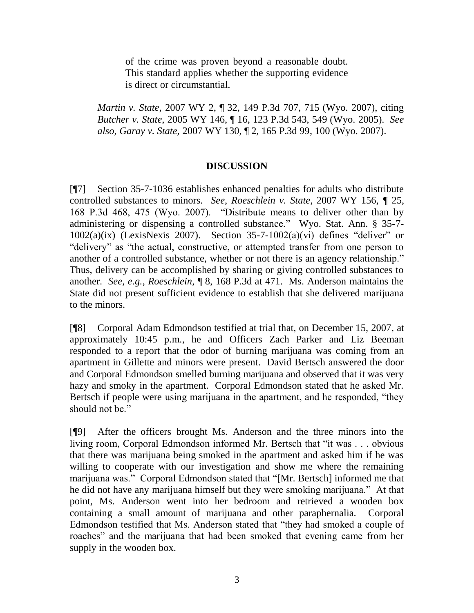of the crime was proven beyond a reasonable doubt. This standard applies whether the supporting evidence is direct or circumstantial.

*Martin v. State,* 2007 WY 2, ¶ 32, 149 P.3d 707, 715 (Wyo. 2007), citing *Butcher v. State*, 2005 WY 146, ¶ 16, 123 P.3d 543, 549 (Wyo. 2005). *See also*, *Garay v. State,* 2007 WY 130, ¶ 2, 165 P.3d 99, 100 (Wyo. 2007).

#### **DISCUSSION**

[¶7] Section 35-7-1036 establishes enhanced penalties for adults who distribute controlled substances to minors. *See*, *Roeschlein v. State,* 2007 WY 156, *¶* 25, 168 P.3d 468, 475 (Wyo. 2007). "Distribute means to deliver other than by administering or dispensing a controlled substance." Wyo. Stat. Ann. § 35-7-  $1002(a)(ix)$  (LexisNexis 2007). Section 35-7-1002(a)(vi) defines "deliver" or "delivery" as "the actual, constructive, or attempted transfer from one person to another of a controlled substance, whether or not there is an agency relationship." Thus, delivery can be accomplished by sharing or giving controlled substances to another. *See, e.g.*, *Roeschlein,* ¶ 8, 168 P.3d at 471. Ms. Anderson maintains the State did not present sufficient evidence to establish that she delivered marijuana to the minors.

[¶8] Corporal Adam Edmondson testified at trial that, on December 15, 2007, at approximately 10:45 p.m., he and Officers Zach Parker and Liz Beeman responded to a report that the odor of burning marijuana was coming from an apartment in Gillette and minors were present. David Bertsch answered the door and Corporal Edmondson smelled burning marijuana and observed that it was very hazy and smoky in the apartment. Corporal Edmondson stated that he asked Mr. Bertsch if people were using marijuana in the apartment, and he responded, "they should not be."

[¶9] After the officers brought Ms. Anderson and the three minors into the living room, Corporal Edmondson informed Mr. Bertsch that "it was . . . obvious that there was marijuana being smoked in the apartment and asked him if he was willing to cooperate with our investigation and show me where the remaining marijuana was." Corporal Edmondson stated that "[Mr. Bertsch] informed me that he did not have any marijuana himself but they were smoking marijuana." At that point, Ms. Anderson went into her bedroom and retrieved a wooden box containing a small amount of marijuana and other paraphernalia. Corporal Edmondson testified that Ms. Anderson stated that "they had smoked a couple of roaches" and the marijuana that had been smoked that evening came from her supply in the wooden box.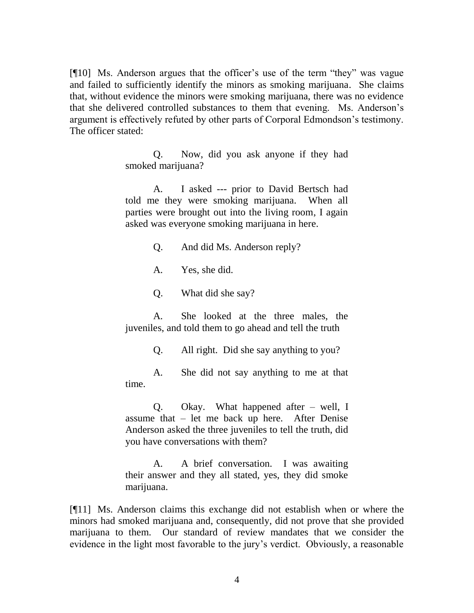[¶10] Ms. Anderson argues that the officer's use of the term "they" was vague and failed to sufficiently identify the minors as smoking marijuana. She claims that, without evidence the minors were smoking marijuana, there was no evidence that she delivered controlled substances to them that evening. Ms. Anderson's argument is effectively refuted by other parts of Corporal Edmondson's testimony. The officer stated:

> Q. Now, did you ask anyone if they had smoked marijuana?

> A. I asked --- prior to David Bertsch had told me they were smoking marijuana. When all parties were brought out into the living room, I again asked was everyone smoking marijuana in here.

- Q. And did Ms. Anderson reply?
- A. Yes, she did.
- Q. What did she say?

A. She looked at the three males, the juveniles, and told them to go ahead and tell the truth

Q. All right. Did she say anything to you?

A. She did not say anything to me at that time.

Q. Okay. What happened after – well, I assume that – let me back up here. After Denise Anderson asked the three juveniles to tell the truth, did you have conversations with them?

A. A brief conversation. I was awaiting their answer and they all stated, yes, they did smoke marijuana.

[¶11] Ms. Anderson claims this exchange did not establish when or where the minors had smoked marijuana and, consequently, did not prove that she provided marijuana to them. Our standard of review mandates that we consider the evidence in the light most favorable to the jury's verdict. Obviously, a reasonable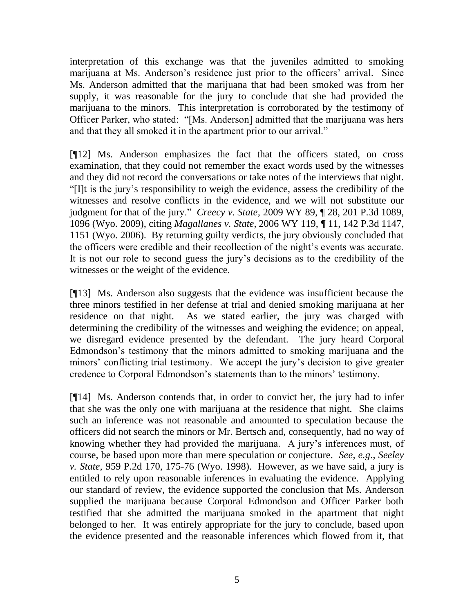interpretation of this exchange was that the juveniles admitted to smoking marijuana at Ms. Anderson's residence just prior to the officers' arrival. Since Ms. Anderson admitted that the marijuana that had been smoked was from her supply, it was reasonable for the jury to conclude that she had provided the marijuana to the minors. This interpretation is corroborated by the testimony of Officer Parker, who stated: "[Ms. Anderson] admitted that the marijuana was hers and that they all smoked it in the apartment prior to our arrival."

[¶12] Ms. Anderson emphasizes the fact that the officers stated, on cross examination, that they could not remember the exact words used by the witnesses and they did not record the conversations or take notes of the interviews that night. "[I]t is the jury's responsibility to weigh the evidence, assess the credibility of the witnesses and resolve conflicts in the evidence, and we will not substitute our judgment for that of the jury." *Creecy v. State,* 2009 WY 89, ¶ 28, 201 P.3d 1089, 1096 (Wyo. 2009), citing*[Magallanes v. State,](http://www.westlaw.com/Find/Default.wl?rs=dfa1.0&vr=2.0&DB=4645&FindType=Y&ReferencePositionType=S&SerialNum=2010358676&ReferencePosition=1151)* [2006 WY 119, ¶ 11, 142 P.3d 1147,](http://www.westlaw.com/Find/Default.wl?rs=dfa1.0&vr=2.0&DB=4645&FindType=Y&ReferencePositionType=S&SerialNum=2010358676&ReferencePosition=1151)  1151 (Wyo. 2006). By returning guilty verdicts, the jury obviously concluded that the officers were credible and their recollection of the night's events was accurate. It is not our role to second guess the jury's decisions as to the credibility of the witnesses or the weight of the evidence.

[¶13] Ms. Anderson also suggests that the evidence was insufficient because the three minors testified in her defense at trial and denied smoking marijuana at her residence on that night. As we stated earlier, the jury was charged with determining the credibility of the witnesses and weighing the evidence; on appeal, we disregard evidence presented by the defendant. The jury heard Corporal Edmondson's testimony that the minors admitted to smoking marijuana and the minors' conflicting trial testimony. We accept the jury's decision to give greater credence to Corporal Edmondson's statements than to the minors' testimony.

[¶14] Ms. Anderson contends that, in order to convict her, the jury had to infer that she was the only one with marijuana at the residence that night. She claims such an inference was not reasonable and amounted to speculation because the officers did not search the minors or Mr. Bertsch and, consequently, had no way of knowing whether they had provided the marijuana. A jury's inferences must, of course, be based upon more than mere speculation or conjecture. *See, e.g*., *Seeley v. State,* 959 P.2d 170, 175-76 (Wyo. 1998). However, as we have said, a jury is entitled to rely upon reasonable inferences in evaluating the evidence. Applying our standard of review, the evidence supported the conclusion that Ms. Anderson supplied the marijuana because Corporal Edmondson and Officer Parker both testified that she admitted the marijuana smoked in the apartment that night belonged to her. It was entirely appropriate for the jury to conclude, based upon the evidence presented and the reasonable inferences which flowed from it, that